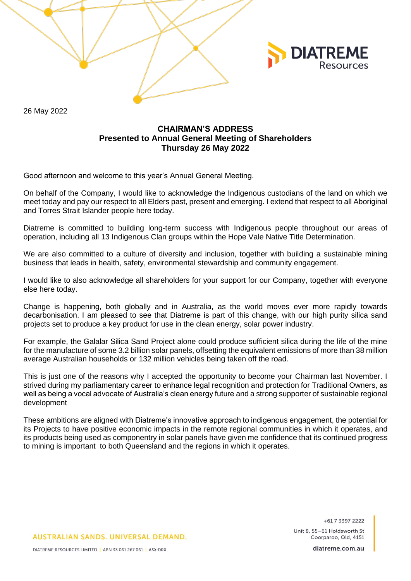26 May 2022

# **CHAIRMAN'S ADDRESS Presented to Annual General Meeting of Shareholders Thursday 26 May 2022**

Good afternoon and welcome to this year's Annual General Meeting.

On behalf of the Company, I would like to acknowledge the Indigenous custodians of the land on which we meet today and pay our respect to all Elders past, present and emerging. I extend that respect to all Aboriginal and Torres Strait Islander people here today.

Diatreme is committed to building long-term success with Indigenous people throughout our areas of operation, including all 13 Indigenous Clan groups within the Hope Vale Native Title Determination.

We are also committed to a culture of diversity and inclusion, together with building a sustainable mining business that leads in health, safety, environmental stewardship and community engagement.

I would like to also acknowledge all shareholders for your support for our Company, together with everyone else here today.

Change is happening, both globally and in Australia, as the world moves ever more rapidly towards decarbonisation. I am pleased to see that Diatreme is part of this change, with our high purity silica sand projects set to produce a key product for use in the clean energy, solar power industry.

For example, the Galalar Silica Sand Project alone could produce sufficient silica during the life of the mine for the manufacture of some 3.2 billion solar panels, offsetting the equivalent emissions of more than 38 million average Australian households or 132 million vehicles being taken off the road.

This is just one of the reasons why I accepted the opportunity to become your Chairman last November. I strived during my parliamentary career to enhance legal recognition and protection for Traditional Owners, as well as being a vocal advocate of Australia's clean energy future and a strong supporter of sustainable regional development

These ambitions are aligned with Diatreme's innovative approach to indigenous engagement, the potential for its Projects to have positive economic impacts in the remote regional communities in which it operates, and its products being used as componentry in solar panels have given me confidence that its continued progress to mining is important to both Queensland and the regions in which it operates.

> +617 3397 2222 Unit 8, 55-61 Holdsworth St

**DIATREME** 

**AUSTRALIAN SANDS, UNIVERSAL DEMAND.** 

Coorparoo, Old. 4151 diatreme.com.au

DIATREME RESOURCES LIMITED | ABN 33 061 267 061 | ASX:DRX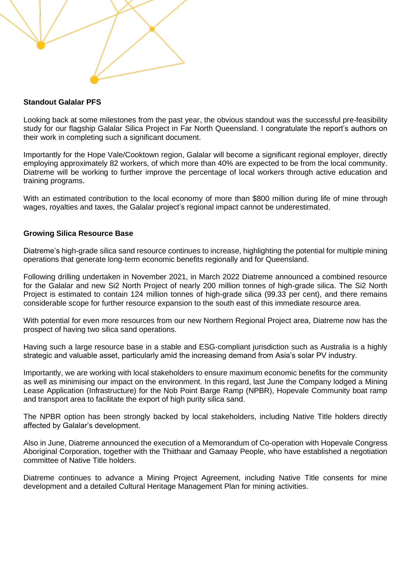

## **Standout Galalar PFS**

Looking back at some milestones from the past year, the obvious standout was the successful pre-feasibility study for our flagship Galalar Silica Project in Far North Queensland. I congratulate the report's authors on their work in completing such a significant document.

Importantly for the Hope Vale/Cooktown region, Galalar will become a significant regional employer, directly employing approximately 82 workers, of which more than 40% are expected to be from the local community. Diatreme will be working to further improve the percentage of local workers through active education and training programs.

With an estimated contribution to the local economy of more than \$800 million during life of mine through wages, royalties and taxes, the Galalar project's regional impact cannot be underestimated.

## **Growing Silica Resource Base**

Diatreme's high-grade silica sand resource continues to increase, highlighting the potential for multiple mining operations that generate long-term economic benefits regionally and for Queensland.

Following drilling undertaken in November 2021, in March 2022 Diatreme announced a combined resource for the Galalar and new Si2 North Project of nearly 200 million tonnes of high-grade silica. The Si2 North Project is estimated to contain 124 million tonnes of high-grade silica (99.33 per cent), and there remains considerable scope for further resource expansion to the south east of this immediate resource area.

With potential for even more resources from our new Northern Regional Project area, Diatreme now has the prospect of having two silica sand operations.

Having such a large resource base in a stable and ESG-compliant jurisdiction such as Australia is a highly strategic and valuable asset, particularly amid the increasing demand from Asia's solar PV industry.

Importantly, we are working with local stakeholders to ensure maximum economic benefits for the community as well as minimising our impact on the environment. In this regard, last June the Company lodged a Mining Lease Application (Infrastructure) for the Nob Point Barge Ramp (NPBR), Hopevale Community boat ramp and transport area to facilitate the export of high purity silica sand.

The NPBR option has been strongly backed by local stakeholders, including Native Title holders directly affected by Galalar's development.

Also in June, Diatreme announced the execution of a Memorandum of Co-operation with Hopevale Congress Aboriginal Corporation, together with the Thiithaar and Gamaay People, who have established a negotiation committee of Native Title holders.

Diatreme continues to advance a Mining Project Agreement, including Native Title consents for mine development and a detailed Cultural Heritage Management Plan for mining activities.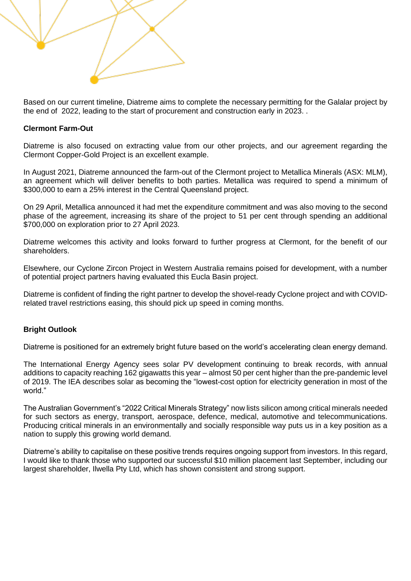

Based on our current timeline, Diatreme aims to complete the necessary permitting for the Galalar project by the end of 2022, leading to the start of procurement and construction early in 2023. .

### **Clermont Farm-Out**

Diatreme is also focused on extracting value from our other projects, and our agreement regarding the Clermont Copper-Gold Project is an excellent example.

In August 2021, Diatreme announced the farm-out of the Clermont project to Metallica Minerals (ASX: MLM), an agreement which will deliver benefits to both parties. Metallica was required to spend a minimum of \$300,000 to earn a 25% interest in the Central Queensland project.

On 29 April, Metallica announced it had met the expenditure commitment and was also moving to the second phase of the agreement, increasing its share of the project to 51 per cent through spending an additional \$700,000 on exploration prior to 27 April 2023.

Diatreme welcomes this activity and looks forward to further progress at Clermont, for the benefit of our shareholders.

Elsewhere, our Cyclone Zircon Project in Western Australia remains poised for development, with a number of potential project partners having evaluated this Eucla Basin project.

Diatreme is confident of finding the right partner to develop the shovel-ready Cyclone project and with COVIDrelated travel restrictions easing, this should pick up speed in coming months.

## **Bright Outlook**

Diatreme is positioned for an extremely bright future based on the world's accelerating clean energy demand.

The International Energy Agency sees solar PV development continuing to break records, with annual additions to capacity reaching 162 gigawatts this year – almost 50 per cent higher than the pre-pandemic level of 2019. The IEA describes solar as becoming the "lowest-cost option for electricity generation in most of the world."

The Australian Government's "2022 Critical Minerals Strategy" now lists silicon among critical minerals needed for such sectors as energy, transport, aerospace, defence, medical, automotive and telecommunications. Producing critical minerals in an environmentally and socially responsible way puts us in a key position as a nation to supply this growing world demand.

Diatreme's ability to capitalise on these positive trends requires ongoing support from investors. In this regard, I would like to thank those who supported our successful \$10 million placement last September, including our largest shareholder, Ilwella Pty Ltd, which has shown consistent and strong support.